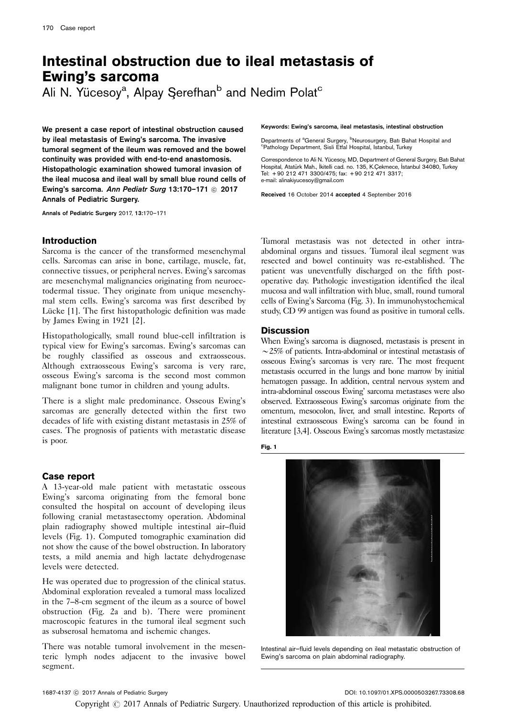# Intestinal obstruction due to ileal metastasis of Ewing's sarcoma

Ali N. Yücesoy<sup>a</sup>, Alpay Şerefhan<sup>b</sup> and Nedim Polat<sup>c</sup>

We present a case report of intestinal obstruction caused by ileal metastasis of Ewing's sarcoma. The invasive tumoral segment of the ileum was removed and the bowel continuity was provided with end-to-end anastomosis. Histopathologic examination showed tumoral invasion of the ileal mucosa and ileal wall by small blue round cells of Ewing's sarcoma. Ann Pediatr Surg 13:170-171 © 2017 Annals of Pediatric Surgery.

Annals of Pediatric Surgery 2017, 13:170–171

## Introduction

Sarcoma is the cancer of the transformed mesenchymal cells. Sarcomas can arise in bone, cartilage, muscle, fat, connective tissues, or peripheral nerves. Ewing's sarcomas are mesenchymal malignancies originating from neuroectodermal tissue. They originate from unique mesenchymal stem cells. Ewing's sarcoma was first described by Lücke [\[1\]](#page-1-0). The first histopathologic definition was made by James Ewing in 1921 [\[2](#page-1-0)].

Histopathologically, small round blue-cell infiltration is typical view for Ewing's sarcomas. Ewing's sarcomas can be roughly classified as osseous and extraosseous. Although extraosseous Ewing's sarcoma is very rare, osseous Ewing's sarcoma is the second most common malignant bone tumor in children and young adults.

There is a slight male predominance. Osseous Ewing's sarcomas are generally detected within the first two decades of life with existing distant metastasis in 25% of cases. The prognosis of patients with metastatic disease is poor.

### Case report

A 13-year-old male patient with metastatic osseous Ewing's sarcoma originating from the femoral bone consulted the hospital on account of developing ileus following cranial metastasectomy operation. Abdominal plain radiography showed multiple intestinal air–fluid levels (Fig. 1). Computed tomographic examination did not show the cause of the bowel obstruction. In laboratory tests, a mild anemia and high lactate dehydrogenase levels were detected.

He was operated due to progression of the clinical status. Abdominal exploration revealed a tumoral mass localized in the 7–8-cm segment of the ileum as a source of bowel obstruction ([Fig. 2a and b\)](#page-1-0). There were prominent macroscopic features in the tumoral ileal segment such as subserosal hematoma and ischemic changes.

There was notable tumoral involvement in the mesenteric lymph nodes adjacent to the invasive bowel segment.

Keywords: Ewing's sarcoma, ileal metastasis, intestinal obstruction

Departments of <sup>a</sup>General Surgery, <sup>b</sup>Neurosurgery, Batı Bahat Hospital and<br><sup>c</sup>Pethology Department, Sieli Ettel Hospital, İstanbul, Turkov <sup>c</sup>Pathology Department, Sisli Etfal Hospital, Istanbul, Turkey

Correspondence to Ali N. Yücesoy, MD, Department of General Surgery, Batı Bahat Hospital, Atatürk Mah., İkitelli cad. no. 135, K.Çekmece, İstanbul 34080, Turkey Tel: + 90 212 471 3300/475; fax: + 90 212 471 3317; e-mail: [alinakiyucesoy@gmail.com](mailto:alinakiyucesoy@gmail.com)

Received 16 October 2014 accepted 4 September 2016

Tumoral metastasis was not detected in other intraabdominal organs and tissues. Tumoral ileal segment was resected and bowel continuity was re-established. The patient was uneventfully discharged on the fifth postoperative day. Pathologic investigation identified the ileal mucosa and wall infiltration with blue, small, round tumoral cells of Ewing's Sarcoma [\(Fig. 3](#page-1-0)). In immunohystochemical study, CD 99 antigen was found as positive in tumoral cells.

# **Discussion**

When Ewing's sarcoma is diagnosed, metastasis is present in  $\sim$  25% of patients. Intra-abdominal or intestinal metastasis of osseous Ewing's sarcomas is very rare. The most frequent metastasis occurred in the lungs and bone marrow by initial hematogen passage. In addition, central nervous system and intra-abdominal osseous Ewing' sarcoma metastases were also observed. Extraosseous Ewing's sarcomas originate from the omentum, mesocolon, liver, and small intestine. Reports of intestinal extraosseous Ewing's sarcoma can be found in literature [\[3,4\]](#page-1-0). Osseous Ewing's sarcomas mostly metastasize

Fig. 1



Intestinal air–fluid levels depending on ileal metastatic obstruction of Ewing's sarcoma on plain abdominal radiography.

DOI: 10.1097/01.XPS.0000503267.73308.68

Copyright  $\odot$  2017 Annals of Pediatric Surgery. Unauthorized reproduction of this article is prohibited.